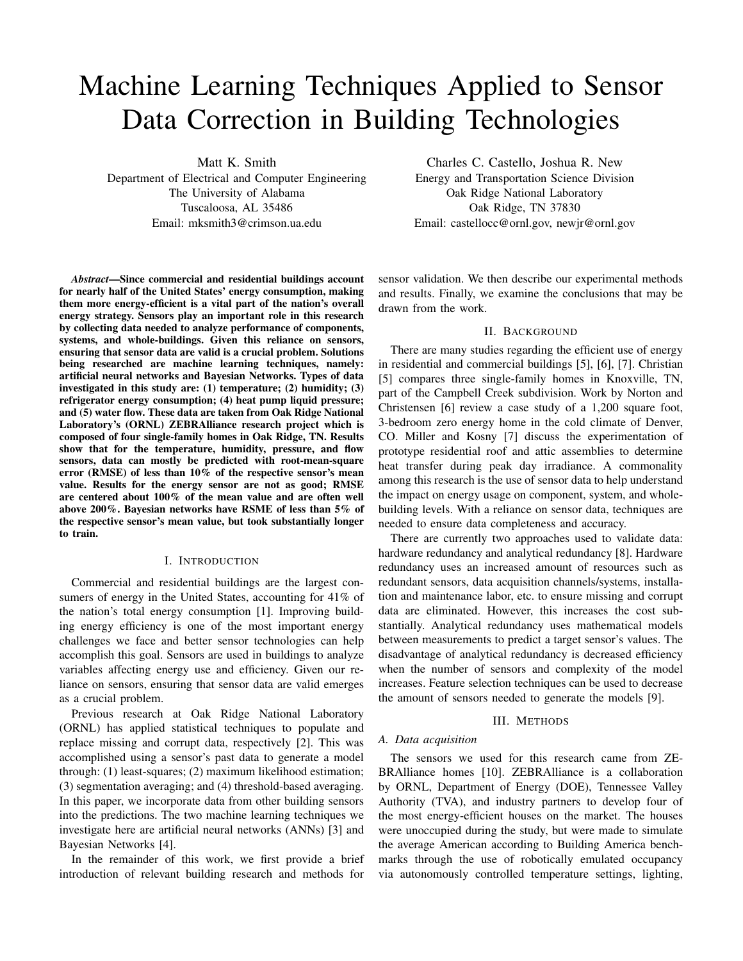# Machine Learning Techniques Applied to Sensor Data Correction in Building Technologies

Matt K. Smith

Department of Electrical and Computer Engineering The University of Alabama Tuscaloosa, AL 35486 Email: mksmith3@crimson.ua.edu

*Abstract*—Since commercial and residential buildings account for nearly half of the United States' energy consumption, making them more energy-efficient is a vital part of the nation's overall energy strategy. Sensors play an important role in this research by collecting data needed to analyze performance of components, systems, and whole-buildings. Given this reliance on sensors, ensuring that sensor data are valid is a crucial problem. Solutions being researched are machine learning techniques, namely: artificial neural networks and Bayesian Networks. Types of data investigated in this study are: (1) temperature; (2) humidity; (3) refrigerator energy consumption; (4) heat pump liquid pressure; and (5) water flow. These data are taken from Oak Ridge National Laboratory's (ORNL) ZEBRAlliance research project which is composed of four single-family homes in Oak Ridge, TN. Results show that for the temperature, humidity, pressure, and flow sensors, data can mostly be predicted with root-mean-square error (RMSE) of less than 10% of the respective sensor's mean value. Results for the energy sensor are not as good; RMSE are centered about 100% of the mean value and are often well above 200%. Bayesian networks have RSME of less than 5% of the respective sensor's mean value, but took substantially longer to train.

#### I. INTRODUCTION

Commercial and residential buildings are the largest consumers of energy in the United States, accounting for 41% of the nation's total energy consumption [\[1\]](#page-3-0). Improving building energy efficiency is one of the most important energy challenges we face and better sensor technologies can help accomplish this goal. Sensors are used in buildings to analyze variables affecting energy use and efficiency. Given our reliance on sensors, ensuring that sensor data are valid emerges as a crucial problem.

Previous research at Oak Ridge National Laboratory (ORNL) has applied statistical techniques to populate and replace missing and corrupt data, respectively [\[2\]](#page-3-1). This was accomplished using a sensor's past data to generate a model through: (1) least-squares; (2) maximum likelihood estimation; (3) segmentation averaging; and (4) threshold-based averaging. In this paper, we incorporate data from other building sensors into the predictions. The two machine learning techniques we investigate here are artificial neural networks (ANNs) [\[3\]](#page-3-2) and Bayesian Networks [\[4\]](#page-3-3).

In the remainder of this work, we first provide a brief introduction of relevant building research and methods for

Charles C. Castello, Joshua R. New

Energy and Transportation Science Division Oak Ridge National Laboratory Oak Ridge, TN 37830 Email: castellocc@ornl.gov, newjr@ornl.gov

sensor validation. We then describe our experimental methods and results. Finally, we examine the conclusions that may be drawn from the work.

## II. BACKGROUND

There are many studies regarding the efficient use of energy in residential and commercial buildings [\[5\]](#page-3-4), [\[6\]](#page-3-5), [\[7\]](#page-3-6). Christian [\[5\]](#page-3-4) compares three single-family homes in Knoxville, TN, part of the Campbell Creek subdivision. Work by Norton and Christensen [\[6\]](#page-3-5) review a case study of a 1,200 square foot, 3-bedroom zero energy home in the cold climate of Denver, CO. Miller and Kosny [\[7\]](#page-3-6) discuss the experimentation of prototype residential roof and attic assemblies to determine heat transfer during peak day irradiance. A commonality among this research is the use of sensor data to help understand the impact on energy usage on component, system, and wholebuilding levels. With a reliance on sensor data, techniques are needed to ensure data completeness and accuracy.

There are currently two approaches used to validate data: hardware redundancy and analytical redundancy [\[8\]](#page-3-7). Hardware redundancy uses an increased amount of resources such as redundant sensors, data acquisition channels/systems, installation and maintenance labor, etc. to ensure missing and corrupt data are eliminated. However, this increases the cost substantially. Analytical redundancy uses mathematical models between measurements to predict a target sensor's values. The disadvantage of analytical redundancy is decreased efficiency when the number of sensors and complexity of the model increases. Feature selection techniques can be used to decrease the amount of sensors needed to generate the models [\[9\]](#page-3-8).

## III. METHODS

#### *A. Data acquisition*

The sensors we used for this research came from ZE-BRAlliance homes [\[10\]](#page-3-9). ZEBRAlliance is a collaboration by ORNL, Department of Energy (DOE), Tennessee Valley Authority (TVA), and industry partners to develop four of the most energy-efficient houses on the market. The houses were unoccupied during the study, but were made to simulate the average American according to Building America benchmarks through the use of robotically emulated occupancy via autonomously controlled temperature settings, lighting,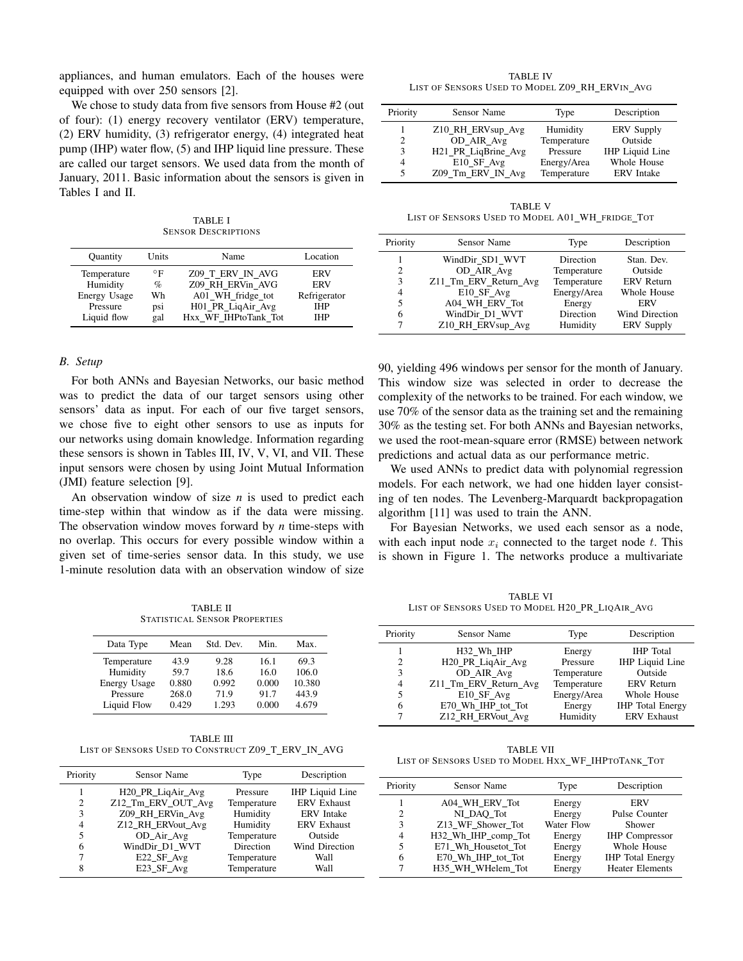appliances, and human emulators. Each of the houses were equipped with over 250 sensors [\[2\]](#page-3-1).

We chose to study data from five sensors from House #2 (out of four): (1) energy recovery ventilator (ERV) temperature, (2) ERV humidity, (3) refrigerator energy, (4) integrated heat pump (IHP) water flow, (5) and IHP liquid line pressure. These are called our target sensors. We used data from the month of January, 2011. Basic information about the sensors is given in Tables [I](#page-1-0) and [II.](#page-1-1)

TABLE I SENSOR DESCRIPTIONS

<span id="page-1-0"></span>

| <b>Ouantity</b> | Units     | Name                 | Location     |
|-----------------|-----------|----------------------|--------------|
| Temperature     | $\circ$ F | Z09 T ERV IN AVG     | <b>ERV</b>   |
| Humidity        | %         | Z09 RH ERVin AVG     | <b>ERV</b>   |
| Energy Usage    | Wh        | A01_WH_fridge_tot    | Refrigerator |
| Pressure        | psi       | H01_PR_LiqAir_Avg    | <b>IHP</b>   |
| Liquid flow     | gal       | Hxx WF IHPtoTank Tot | <b>IHP</b>   |

#### *B. Setup*

For both ANNs and Bayesian Networks, our basic method was to predict the data of our target sensors using other sensors' data as input. For each of our five target sensors, we chose five to eight other sensors to use as inputs for our networks using domain knowledge. Information regarding these sensors is shown in Tables [III,](#page-1-2) [IV,](#page-1-3) [V,](#page-1-4) [VI,](#page-1-5) and [VII.](#page-1-6) These input sensors were chosen by using Joint Mutual Information (JMI) feature selection [\[9\]](#page-3-8).

An observation window of size *n* is used to predict each time-step within that window as if the data were missing. The observation window moves forward by *n* time-steps with no overlap. This occurs for every possible window within a given set of time-series sensor data. In this study, we use 1-minute resolution data with an observation window of size

TABLE II STATISTICAL SENSOR PROPERTIES

<span id="page-1-1"></span>

| Data Type    | Mean  | Std. Dev. | Min.  | Max.   |
|--------------|-------|-----------|-------|--------|
| Temperature  | 43.9  | 9.28      | 16.1  | 69.3   |
| Humidity     | 59.7  | 18.6      | 16.0  | 106.0  |
| Energy Usage | 0.880 | 0.992     | 0.000 | 10.380 |
| Pressure     | 268.0 | 71.9      | 91.7  | 443.9  |
| Liquid Flow  | 0.429 | 1.293     | 0.000 | 4.679  |

<span id="page-1-2"></span>TABLE III LIST OF SENSORS USED TO CONSTRUCT Z09\_T\_ERV\_IN\_AVG

| Priority | Sensor Name                    | Type        | Description            |
|----------|--------------------------------|-------------|------------------------|
|          | H <sub>20</sub> _PR_LiqAir_Avg | Pressure    | <b>IHP</b> Liquid Line |
| 2        | Z12 Tm ERV OUT Avg             | Temperature | <b>ERV</b> Exhaust     |
| 3        | Z09 RH ERVin Avg               | Humidity    | <b>ERV</b> Intake      |
| 4        | Z12 RH ERVout Avg              | Humidity    | <b>ERV</b> Exhaust     |
| 5        | OD Air Avg                     | Temperature | Outside                |
| 6        | WindDir D1 WVT                 | Direction   | Wind Direction         |
|          | E22 SF Avg                     | Temperature | Wall                   |
| 8        | E23_SF_Avg                     | Temperature | Wall                   |

<span id="page-1-3"></span>TABLE IV LIST OF SENSORS USED TO MODEL Z09\_RH\_ERVIN\_AVG

| Priority       | Sensor Name         | Type        | Description            |
|----------------|---------------------|-------------|------------------------|
|                | Z10_RH_ERVsup_Avg   | Humidity    | <b>ERV</b> Supply      |
| 2              | OD AIR Avg          | Temperature | Outside                |
| 3              | H21 PR LigBrine Avg | Pressure    | <b>IHP</b> Liquid Line |
| $\overline{4}$ | E10 SF Avg          | Energy/Area | Whole House            |
| 5              | Z09_Tm_ERV_IN_Avg   | Temperature | <b>ERV</b> Intake      |

<span id="page-1-4"></span>TABLE V LIST OF SENSORS USED TO MODEL A01\_WH\_FRIDGE\_TOT

| Priority | Sensor Name                                                  | Type                  | Description                      |
|----------|--------------------------------------------------------------|-----------------------|----------------------------------|
|          | WindDir SD1 WVT                                              | Direction             | Stan. Dev.                       |
| 2        | OD_AIR_Avg                                                   | Temperature           | Outside                          |
| 3<br>4   | Z11_Tm_ERV_Return_Avg                                        | Temperature           | <b>ERV</b> Return<br>Whole House |
| 5        | $E10$ <sub>_</sub> $SF$ <sub>_</sub> $Avg$<br>A04 WH ERV Tot | Energy/Area<br>Energy | ERV                              |
| 6        | WindDir D1 WVT                                               | Direction             | Wind Direction                   |
|          | Z10_RH_ERVsup_Avg                                            | Humidity              | <b>ERV</b> Supply                |

90, yielding 496 windows per sensor for the month of January. This window size was selected in order to decrease the complexity of the networks to be trained. For each window, we use 70% of the sensor data as the training set and the remaining 30% as the testing set. For both ANNs and Bayesian networks, we used the root-mean-square error (RMSE) between network predictions and actual data as our performance metric.

We used ANNs to predict data with polynomial regression models. For each network, we had one hidden layer consisting of ten nodes. The Levenberg-Marquardt backpropagation algorithm [\[11\]](#page-3-10) was used to train the ANN.

For Bayesian Networks, we used each sensor as a node, with each input node  $x_i$  connected to the target node t. This is shown in Figure [1.](#page-2-0) The networks produce a multivariate

<span id="page-1-5"></span>TABLE VI LIST OF SENSORS USED TO MODEL H20\_PR\_LIQAIR\_AVG

| Priority | Sensor Name                   | Type        | Description             |
|----------|-------------------------------|-------------|-------------------------|
|          | H32 Wh IHP                    | Energy      | <b>IHP</b> Total        |
| 2        | H <sub>20</sub> PR LigAir Avg | Pressure    | <b>IHP</b> Liquid Line  |
| 3        | OD AIR Avg                    | Temperature | Outside                 |
| 4        | Z11_Tm_ERV_Return_Avg         | Temperature | <b>ERV</b> Return       |
| 5        | E10_SF_Avg                    | Energy/Area | Whole House             |
| 6        | E70_Wh_IHP_tot_Tot            | Energy      | <b>IHP</b> Total Energy |
|          | Z12_RH_ERVout_Avg             | Humidity    | <b>ERV</b> Exhaust      |

<span id="page-1-6"></span>TABLE VII LIST OF SENSORS USED TO MODEL HXX\_WF\_IHPTOTANK\_TOT

| Priority       | Sensor Name         | Type       | Description             |
|----------------|---------------------|------------|-------------------------|
|                | A04 WH ERV Tot      | Energy     | <b>ERV</b>              |
| $\overline{c}$ | NI DAO Tot          | Energy     | Pulse Counter           |
| 3              | Z13 WF Shower Tot   | Water Flow | Shower                  |
| 4              | H32 Wh IHP comp Tot | Energy     | <b>IHP</b> Compressor   |
| 5              | E71 Wh Housetot Tot | Energy     | Whole House             |
| 6              | E70 Wh IHP tot Tot  | Energy     | <b>IHP</b> Total Energy |
| 7              | H35 WH WHelem Tot   | Energy     | <b>Heater Elements</b>  |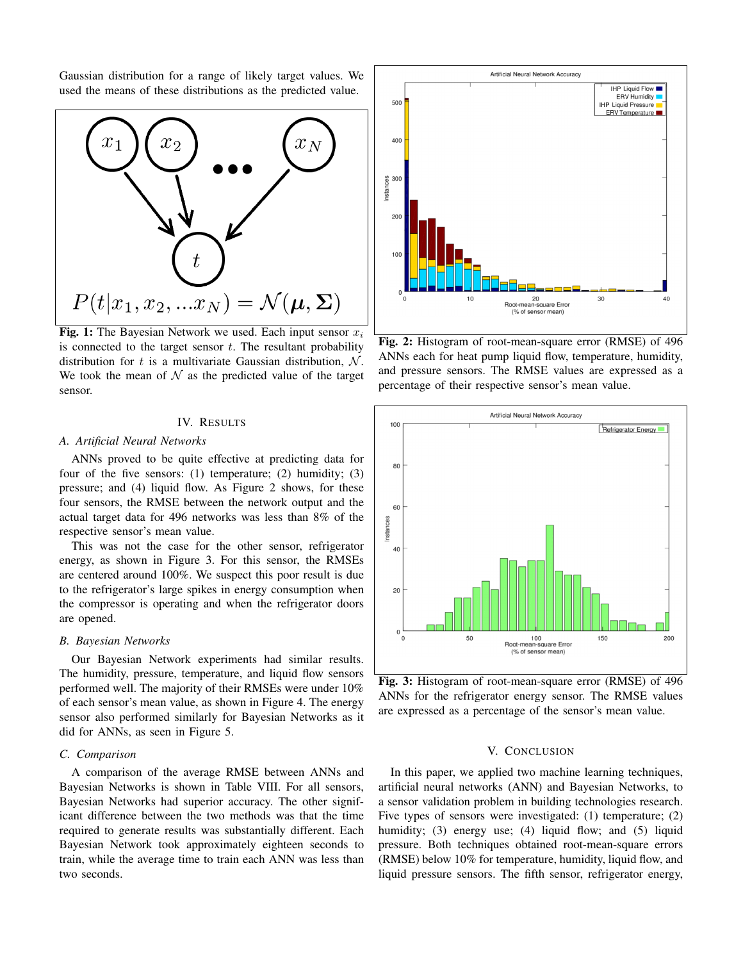Gaussian distribution for a range of likely target values. We used the means of these distributions as the predicted value.



Fig. 1: The Bayesian Network we used. Each input sensor  $x_i$ is connected to the target sensor  $t$ . The resultant probability distribution for t is a multivariate Gaussian distribution,  $\mathcal{N}$ . We took the mean of  $\mathcal N$  as the predicted value of the target sensor.

## IV. RESULTS

#### *A. Artificial Neural Networks*

ANNs proved to be quite effective at predicting data for four of the five sensors: (1) temperature; (2) humidity; (3) pressure; and (4) liquid flow. As Figure [2](#page-2-1) shows, for these four sensors, the RMSE between the network output and the actual target data for 496 networks was less than 8% of the respective sensor's mean value.

This was not the case for the other sensor, refrigerator energy, as shown in Figure [3.](#page-2-2) For this sensor, the RMSEs are centered around 100%. We suspect this poor result is due to the refrigerator's large spikes in energy consumption when the compressor is operating and when the refrigerator doors are opened.

# *B. Bayesian Networks*

Our Bayesian Network experiments had similar results. The humidity, pressure, temperature, and liquid flow sensors performed well. The majority of their RMSEs were under 10% of each sensor's mean value, as shown in Figure [4.](#page-3-11) The energy sensor also performed similarly for Bayesian Networks as it did for ANNs, as seen in Figure [5.](#page-3-12)

## *C. Comparison*

A comparison of the average RMSE between ANNs and Bayesian Networks is shown in Table [VIII.](#page-3-13) For all sensors, Bayesian Networks had superior accuracy. The other significant difference between the two methods was that the time required to generate results was substantially different. Each Bayesian Network took approximately eighteen seconds to train, while the average time to train each ANN was less than two seconds.



<span id="page-2-1"></span><span id="page-2-0"></span>Fig. 2: Histogram of root-mean-square error (RMSE) of 496 ANNs each for heat pump liquid flow, temperature, humidity, and pressure sensors. The RMSE values are expressed as a percentage of their respective sensor's mean value.



Fig. 3: Histogram of root-mean-square error (RMSE) of 496 ANNs for the refrigerator energy sensor. The RMSE values are expressed as a percentage of the sensor's mean value.

# <span id="page-2-2"></span>V. CONCLUSION

In this paper, we applied two machine learning techniques, artificial neural networks (ANN) and Bayesian Networks, to a sensor validation problem in building technologies research. Five types of sensors were investigated: (1) temperature; (2) humidity; (3) energy use; (4) liquid flow; and (5) liquid pressure. Both techniques obtained root-mean-square errors (RMSE) below 10% for temperature, humidity, liquid flow, and liquid pressure sensors. The fifth sensor, refrigerator energy,